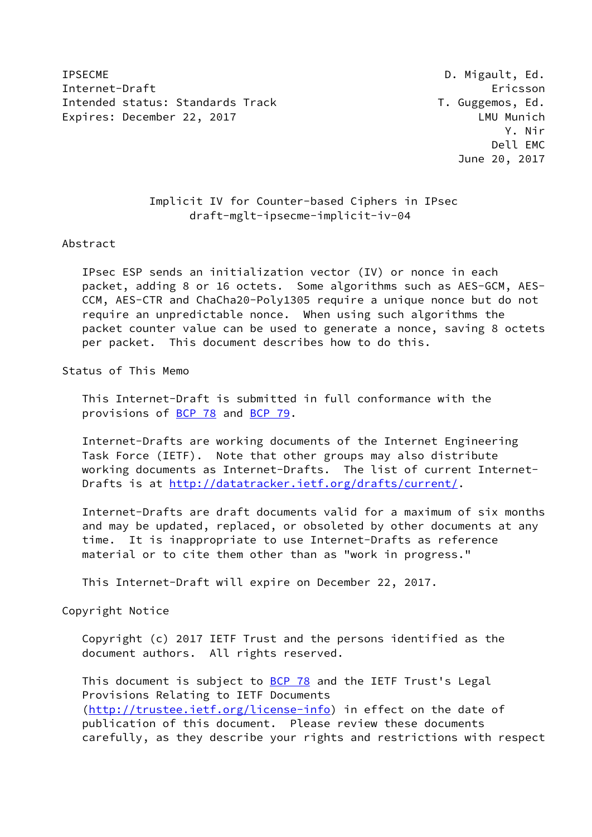IPSECME D. Migault, Ed. Internet-Draft Ericsson Intended status: Standards Track T. Guggemos, Ed. Expires: December 22, 2017 **LAU** Munich

 Y. Nir Dell EMC June 20, 2017

> Implicit IV for Counter-based Ciphers in IPsec draft-mglt-ipsecme-implicit-iv-04

## Abstract

 IPsec ESP sends an initialization vector (IV) or nonce in each packet, adding 8 or 16 octets. Some algorithms such as AES-GCM, AES- CCM, AES-CTR and ChaCha20-Poly1305 require a unique nonce but do not require an unpredictable nonce. When using such algorithms the packet counter value can be used to generate a nonce, saving 8 octets per packet. This document describes how to do this.

Status of This Memo

 This Internet-Draft is submitted in full conformance with the provisions of [BCP 78](https://datatracker.ietf.org/doc/pdf/bcp78) and [BCP 79](https://datatracker.ietf.org/doc/pdf/bcp79).

 Internet-Drafts are working documents of the Internet Engineering Task Force (IETF). Note that other groups may also distribute working documents as Internet-Drafts. The list of current Internet- Drafts is at<http://datatracker.ietf.org/drafts/current/>.

 Internet-Drafts are draft documents valid for a maximum of six months and may be updated, replaced, or obsoleted by other documents at any time. It is inappropriate to use Internet-Drafts as reference material or to cite them other than as "work in progress."

This Internet-Draft will expire on December 22, 2017.

Copyright Notice

 Copyright (c) 2017 IETF Trust and the persons identified as the document authors. All rights reserved.

This document is subject to **[BCP 78](https://datatracker.ietf.org/doc/pdf/bcp78)** and the IETF Trust's Legal Provisions Relating to IETF Documents [\(http://trustee.ietf.org/license-info](http://trustee.ietf.org/license-info)) in effect on the date of publication of this document. Please review these documents carefully, as they describe your rights and restrictions with respect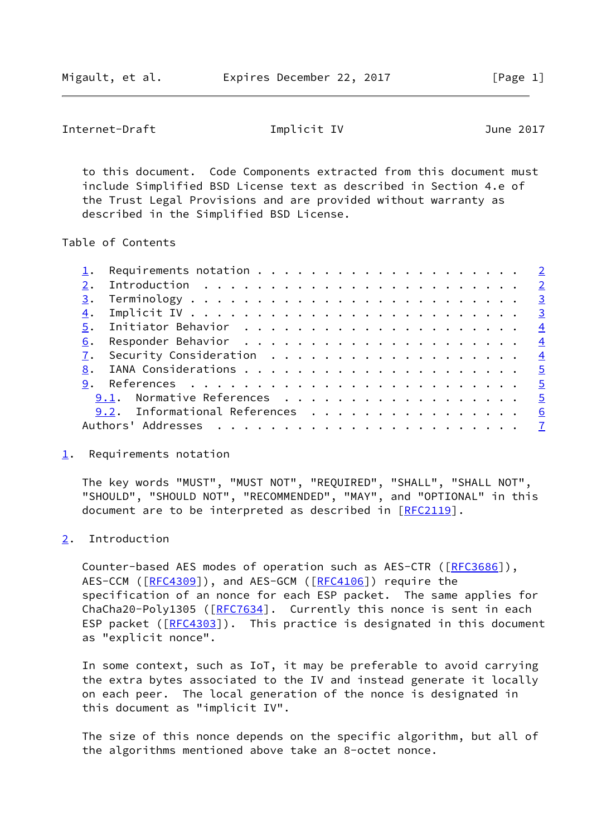<span id="page-1-1"></span>Internet-Draft **Implicit IV** June 2017

 to this document. Code Components extracted from this document must include Simplified BSD License text as described in Section 4.e of the Trust Legal Provisions and are provided without warranty as described in the Simplified BSD License.

Table of Contents

|  | 9.1. Normative References 5     |  |
|--|---------------------------------|--|
|  | 9.2. Informational References 6 |  |
|  |                                 |  |
|  |                                 |  |

<span id="page-1-0"></span>[1](#page-1-0). Requirements notation

 The key words "MUST", "MUST NOT", "REQUIRED", "SHALL", "SHALL NOT", "SHOULD", "SHOULD NOT", "RECOMMENDED", "MAY", and "OPTIONAL" in this document are to be interpreted as described in [\[RFC2119](https://datatracker.ietf.org/doc/pdf/rfc2119)].

## <span id="page-1-2"></span>[2](#page-1-2). Introduction

Counter-based AES modes of operation such as AES-CTR ([[RFC3686](https://datatracker.ietf.org/doc/pdf/rfc3686)]), AES-CCM ([\[RFC4309](https://datatracker.ietf.org/doc/pdf/rfc4309)]), and AES-GCM ([[RFC4106](https://datatracker.ietf.org/doc/pdf/rfc4106)]) require the specification of an nonce for each ESP packet. The same applies for ChaCha20-Poly1305 ([[RFC7634\]](https://datatracker.ietf.org/doc/pdf/rfc7634). Currently this nonce is sent in each ESP packet ([\[RFC4303](https://datatracker.ietf.org/doc/pdf/rfc4303)]). This practice is designated in this document as "explicit nonce".

 In some context, such as IoT, it may be preferable to avoid carrying the extra bytes associated to the IV and instead generate it locally on each peer. The local generation of the nonce is designated in this document as "implicit IV".

 The size of this nonce depends on the specific algorithm, but all of the algorithms mentioned above take an 8-octet nonce.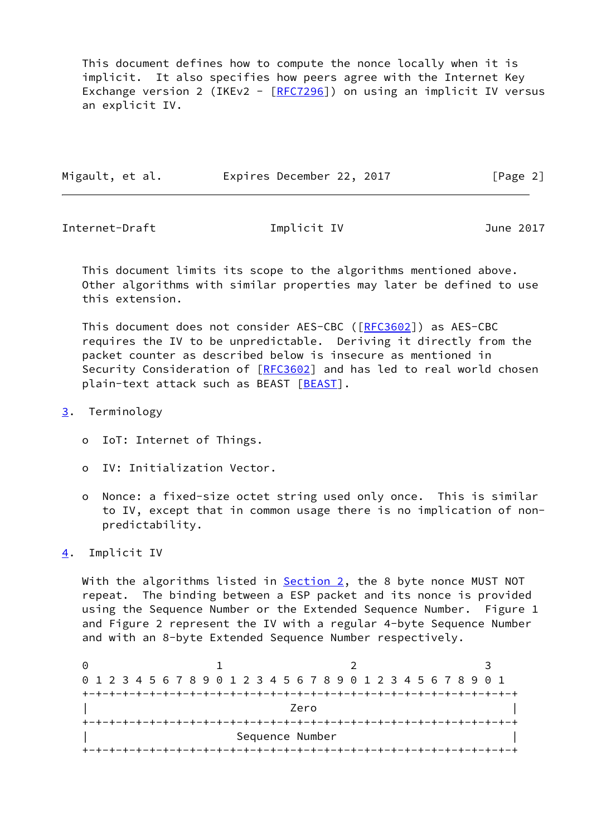This document defines how to compute the nonce locally when it is implicit. It also specifies how peers agree with the Internet Key Exchange version 2 (IKEv2 - [\[RFC7296](https://datatracker.ietf.org/doc/pdf/rfc7296)]) on using an implicit IV versus an explicit IV.

| Migault, et al. | Expires December 22, 2017 | [Page 2] |
|-----------------|---------------------------|----------|
|                 |                           |          |

<span id="page-2-1"></span>Internet-Draft Implicit IV June 2017

 This document limits its scope to the algorithms mentioned above. Other algorithms with similar properties may later be defined to use this extension.

 This document does not consider AES-CBC ([\[RFC3602](https://datatracker.ietf.org/doc/pdf/rfc3602)]) as AES-CBC requires the IV to be unpredictable. Deriving it directly from the packet counter as described below is insecure as mentioned in Security Consideration of [[RFC3602](https://datatracker.ietf.org/doc/pdf/rfc3602)] and has led to real world chosen plain-text attack such as BEAST [\[BEAST](#page-6-2)].

- <span id="page-2-0"></span>[3](#page-2-0). Terminology
	- o IoT: Internet of Things.
	- o IV: Initialization Vector.
	- o Nonce: a fixed-size octet string used only once. This is similar to IV, except that in common usage there is no implication of non predictability.
- <span id="page-2-2"></span>[4](#page-2-2). Implicit IV

With the algorithms listed in  $Section 2$ , the 8 byte nonce MUST NOT repeat. The binding between a ESP packet and its nonce is provided using the Sequence Number or the Extended Sequence Number. Figure 1 and Figure 2 represent the IV with a regular 4-byte Sequence Number and with an 8-byte Extended Sequence Number respectively.

0 1 2 3 0 1 2 3 4 5 6 7 8 9 0 1 2 3 4 5 6 7 8 9 0 1 2 3 4 5 6 7 8 9 0 1 +-+-+-+-+-+-+-+-+-+-+-+-+-+-+-+-+-+-+-+-+-+-+-+-+-+-+-+-+-+-+-+-+ | Zero | +-+-+-+-+-+-+-+-+-+-+-+-+-+-+-+-+-+-+-+-+-+-+-+-+-+-+-+-+-+-+-+-+ | Sequence Number | +-+-+-+-+-+-+-+-+-+-+-+-+-+-+-+-+-+-+-+-+-+-+-+-+-+-+-+-+-+-+-+-+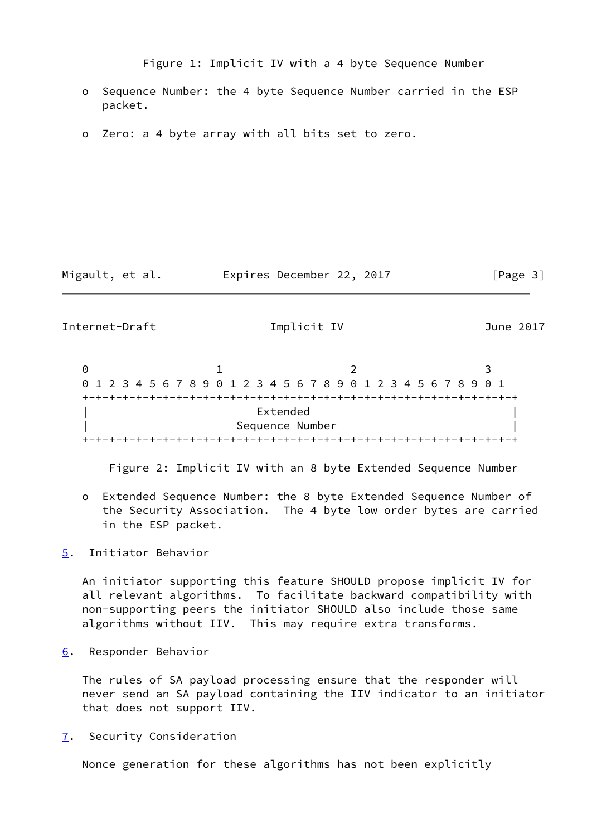Figure 1: Implicit IV with a 4 byte Sequence Number

- o Sequence Number: the 4 byte Sequence Number carried in the ESP packet.
- o Zero: a 4 byte array with all bits set to zero.

Migault, et al. Expires December 22, 2017 [Page 3]

<span id="page-3-1"></span>Internet-Draft Implicit IV June 2017

0 1 2 3 0 1 2 3 4 5 6 7 8 9 0 1 2 3 4 5 6 7 8 9 0 1 2 3 4 5 6 7 8 9 0 1 +-+-+-+-+-+-+-+-+-+-+-+-+-+-+-+-+-+-+-+-+-+-+-+-+-+-+-+-+-+-+-+-+ Extended | Sequence Number | +-+-+-+-+-+-+-+-+-+-+-+-+-+-+-+-+-+-+-+-+-+-+-+-+-+-+-+-+-+-+-+-+

Figure 2: Implicit IV with an 8 byte Extended Sequence Number

 o Extended Sequence Number: the 8 byte Extended Sequence Number of the Security Association. The 4 byte low order bytes are carried in the ESP packet.

<span id="page-3-0"></span>[5](#page-3-0). Initiator Behavior

 An initiator supporting this feature SHOULD propose implicit IV for all relevant algorithms. To facilitate backward compatibility with non-supporting peers the initiator SHOULD also include those same algorithms without IIV. This may require extra transforms.

<span id="page-3-2"></span>[6](#page-3-2). Responder Behavior

 The rules of SA payload processing ensure that the responder will never send an SA payload containing the IIV indicator to an initiator that does not support IIV.

<span id="page-3-3"></span>[7](#page-3-3). Security Consideration

Nonce generation for these algorithms has not been explicitly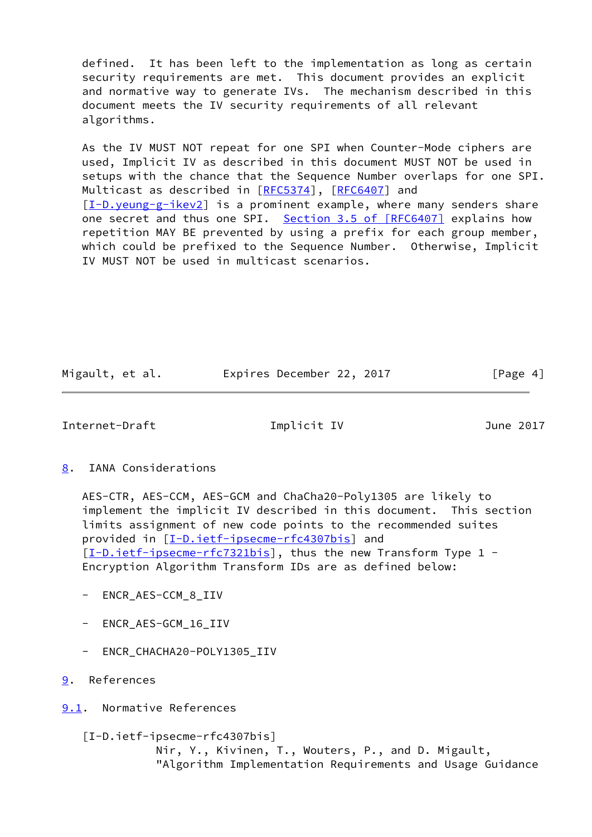defined. It has been left to the implementation as long as certain security requirements are met. This document provides an explicit and normative way to generate IVs. The mechanism described in this document meets the IV security requirements of all relevant algorithms.

 As the IV MUST NOT repeat for one SPI when Counter-Mode ciphers are used, Implicit IV as described in this document MUST NOT be used in setups with the chance that the Sequence Number overlaps for one SPI. Multicast as described in [[RFC5374](https://datatracker.ietf.org/doc/pdf/rfc5374)], [\[RFC6407](https://datatracker.ietf.org/doc/pdf/rfc6407)] and  $[I-D.$  yeung-g-ikev2] is a prominent example, where many senders share one secret and thus one SPI. Section [3.5 of \[RFC6407\]](https://datatracker.ietf.org/doc/pdf/rfc6407#section-3.5) explains how repetition MAY BE prevented by using a prefix for each group member, which could be prefixed to the Sequence Number. Otherwise, Implicit IV MUST NOT be used in multicast scenarios.

Migault, et al. **Expires December 22, 2017** [Page 4]

<span id="page-4-1"></span>Internet-Draft Implicit IV June 2017

<span id="page-4-0"></span>[8](#page-4-0). IANA Considerations

 AES-CTR, AES-CCM, AES-GCM and ChaCha20-Poly1305 are likely to implement the implicit IV described in this document. This section limits assignment of new code points to the recommended suites provided in [\[I-D.ietf-ipsecme-rfc4307bis](#page-4-4)] and [\[I-D.ietf-ipsecme-rfc7321bis](#page-5-1)], thus the new Transform Type 1 -Encryption Algorithm Transform IDs are as defined below:

- ENCR\_AES-CCM\_8\_IIV
- ENCR\_AES-GCM\_16\_IIV
- ENCR\_CHACHA20-POLY1305\_IIV
- <span id="page-4-2"></span>[9](#page-4-2). References

<span id="page-4-3"></span>[9.1](#page-4-3). Normative References

<span id="page-4-4"></span> [I-D.ietf-ipsecme-rfc4307bis] Nir, Y., Kivinen, T., Wouters, P., and D. Migault, "Algorithm Implementation Requirements and Usage Guidance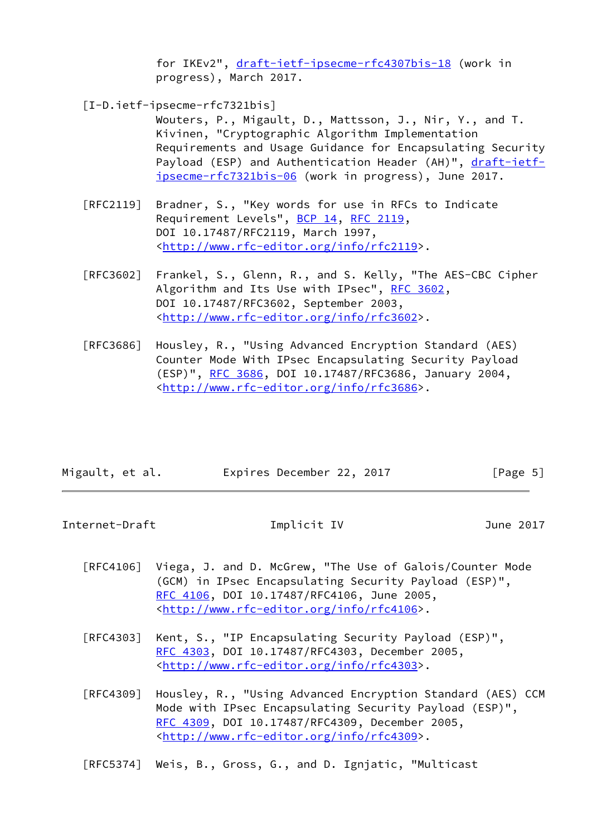for IKEv2", [draft-ietf-ipsecme-rfc4307bis-18](https://datatracker.ietf.org/doc/pdf/draft-ietf-ipsecme-rfc4307bis-18) (work in progress), March 2017.

<span id="page-5-1"></span>[I-D.ietf-ipsecme-rfc7321bis]

 Wouters, P., Migault, D., Mattsson, J., Nir, Y., and T. Kivinen, "Cryptographic Algorithm Implementation Requirements and Usage Guidance for Encapsulating Security Payload (ESP) and Authentication Header (AH)", [draft-ietf](https://datatracker.ietf.org/doc/pdf/draft-ietf-ipsecme-rfc7321bis-06) [ipsecme-rfc7321bis-06](https://datatracker.ietf.org/doc/pdf/draft-ietf-ipsecme-rfc7321bis-06) (work in progress), June 2017.

- [RFC2119] Bradner, S., "Key words for use in RFCs to Indicate Requirement Levels", [BCP 14](https://datatracker.ietf.org/doc/pdf/bcp14), [RFC 2119](https://datatracker.ietf.org/doc/pdf/rfc2119), DOI 10.17487/RFC2119, March 1997, <<http://www.rfc-editor.org/info/rfc2119>>.
- [RFC3602] Frankel, S., Glenn, R., and S. Kelly, "The AES-CBC Cipher Algorithm and Its Use with IPsec", [RFC 3602](https://datatracker.ietf.org/doc/pdf/rfc3602), DOI 10.17487/RFC3602, September 2003, <<http://www.rfc-editor.org/info/rfc3602>>.
- [RFC3686] Housley, R., "Using Advanced Encryption Standard (AES) Counter Mode With IPsec Encapsulating Security Payload (ESP)", [RFC 3686,](https://datatracker.ietf.org/doc/pdf/rfc3686) DOI 10.17487/RFC3686, January 2004, <<http://www.rfc-editor.org/info/rfc3686>>.

| Migault, et al. | Expires December 22, 2017 | [Page 5] |
|-----------------|---------------------------|----------|

<span id="page-5-0"></span>Internet-Draft Implicit IV June 2017

- [RFC4106] Viega, J. and D. McGrew, "The Use of Galois/Counter Mode (GCM) in IPsec Encapsulating Security Payload (ESP)", [RFC 4106,](https://datatracker.ietf.org/doc/pdf/rfc4106) DOI 10.17487/RFC4106, June 2005, <<http://www.rfc-editor.org/info/rfc4106>>.
- [RFC4303] Kent, S., "IP Encapsulating Security Payload (ESP)", [RFC 4303,](https://datatracker.ietf.org/doc/pdf/rfc4303) DOI 10.17487/RFC4303, December 2005, <<http://www.rfc-editor.org/info/rfc4303>>.
- [RFC4309] Housley, R., "Using Advanced Encryption Standard (AES) CCM Mode with IPsec Encapsulating Security Payload (ESP)", [RFC 4309,](https://datatracker.ietf.org/doc/pdf/rfc4309) DOI 10.17487/RFC4309, December 2005, <<http://www.rfc-editor.org/info/rfc4309>>.

[RFC5374] Weis, B., Gross, G., and D. Ignjatic, "Multicast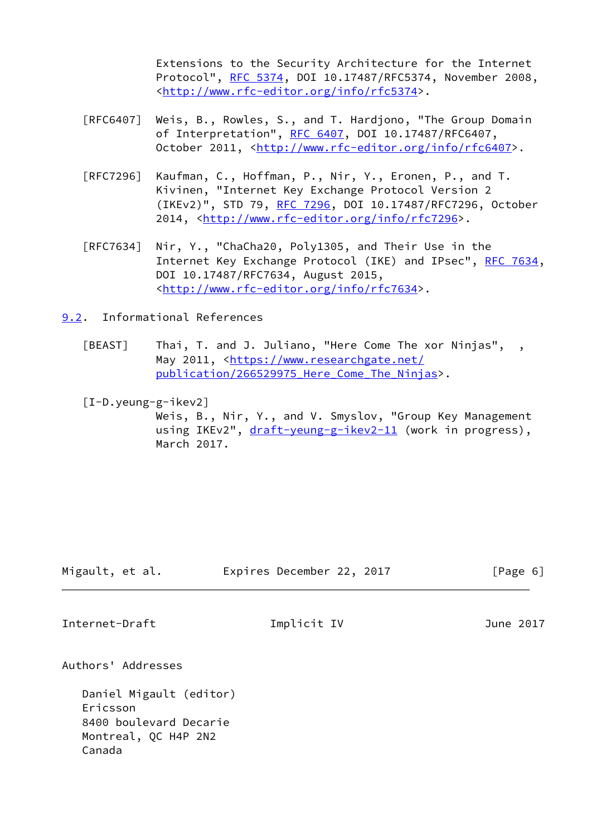Extensions to the Security Architecture for the Internet Protocol", [RFC 5374](https://datatracker.ietf.org/doc/pdf/rfc5374), DOI 10.17487/RFC5374, November 2008, <<http://www.rfc-editor.org/info/rfc5374>>.

- [RFC6407] Weis, B., Rowles, S., and T. Hardjono, "The Group Domain of Interpretation", [RFC 6407,](https://datatracker.ietf.org/doc/pdf/rfc6407) DOI 10.17487/RFC6407, October 2011, [<http://www.rfc-editor.org/info/rfc6407](http://www.rfc-editor.org/info/rfc6407)>.
- [RFC7296] Kaufman, C., Hoffman, P., Nir, Y., Eronen, P., and T. Kivinen, "Internet Key Exchange Protocol Version 2 (IKEv2)", STD 79, [RFC 7296](https://datatracker.ietf.org/doc/pdf/rfc7296), DOI 10.17487/RFC7296, October 2014, [<http://www.rfc-editor.org/info/rfc7296](http://www.rfc-editor.org/info/rfc7296)>.
- [RFC7634] Nir, Y., "ChaCha20, Poly1305, and Their Use in the Internet Key Exchange Protocol (IKE) and IPsec", [RFC 7634,](https://datatracker.ietf.org/doc/pdf/rfc7634) DOI 10.17487/RFC7634, August 2015, <<http://www.rfc-editor.org/info/rfc7634>>.

<span id="page-6-0"></span>[9.2](#page-6-0). Informational References

<span id="page-6-2"></span>[BEAST] Thai, T. and J. Juliano, "Here Come The xor Ninjas", , May 2011, [<https://www.researchgate.net/](https://www.researchgate.net/publication/266529975_Here_Come_The_Ninjas) publication/266529975 Here Come The Ninjas>.

<span id="page-6-3"></span>[I-D.yeung-g-ikev2]

 Weis, B., Nir, Y., and V. Smyslov, "Group Key Management using IKEv2", [draft-yeung-g-ikev2-11](https://datatracker.ietf.org/doc/pdf/draft-yeung-g-ikev2-11) (work in progress), March 2017.

Migault, et al. Expires December 22, 2017 [Page 6]

<span id="page-6-1"></span>Internet-Draft Implicit IV June 2017

Authors' Addresses

 Daniel Migault (editor) Ericsson 8400 boulevard Decarie Montreal, QC H4P 2N2 Canada